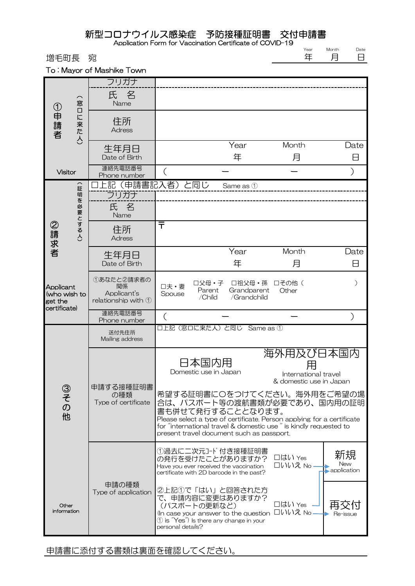## 新型コロナウイルス感染症 予防接種証明書 交付申請書

Application Form for Vaccination Certificate of COVID-19

Year 年 Month 月

Date 日

増毛町長 宛

To : Mayor of Mashike Town

| ①申請者                                                 | $\widehat{\phantom{1}}$<br>窓<br>О<br>に<br>来<br>た<br>$\overline{\mathcal{S}}$ | フリガナ                                                   |                                                                                                                                                                                                                                                                            |                                      |                                                                   |                          |
|------------------------------------------------------|------------------------------------------------------------------------------|--------------------------------------------------------|----------------------------------------------------------------------------------------------------------------------------------------------------------------------------------------------------------------------------------------------------------------------------|--------------------------------------|-------------------------------------------------------------------|--------------------------|
|                                                      |                                                                              | 氏名<br>Name                                             |                                                                                                                                                                                                                                                                            |                                      |                                                                   |                          |
|                                                      |                                                                              | 住所<br>Adress                                           |                                                                                                                                                                                                                                                                            |                                      |                                                                   |                          |
|                                                      |                                                                              | 生年月日<br>Date of Birth                                  |                                                                                                                                                                                                                                                                            | Year<br>年                            | Month<br>月                                                        | Date<br>⊟                |
| <b>Visitor</b>                                       |                                                                              | 連絡先電話番号<br>Phone number                                |                                                                                                                                                                                                                                                                            |                                      |                                                                   |                          |
| ②請求者                                                 | ⌒<br>証<br>明を必要とする人)                                                          | フリガナ                                                   | 上記(申請書記入者)と同じ                                                                                                                                                                                                                                                              | Same as 1                            |                                                                   |                          |
|                                                      |                                                                              | 氏名<br>Name                                             |                                                                                                                                                                                                                                                                            |                                      |                                                                   |                          |
|                                                      |                                                                              | 住所<br><b>Adress</b>                                    | $\bar{\tau}$                                                                                                                                                                                                                                                               |                                      |                                                                   |                          |
|                                                      |                                                                              | 生年月日<br>Date of Birth                                  |                                                                                                                                                                                                                                                                            | Year<br>年                            | Month<br>月                                                        | Date<br>8                |
| Applicant<br>(who wish to<br>get the<br>certificate) |                                                                              | 1あなたと2請求者の<br>関係<br>Applicant's<br>relationship with 1 | 口父母・子<br>口夫・妻<br>Parent<br>Spouse<br>/Child                                                                                                                                                                                                                                | □祖父母・孫<br>Grandparent<br>/Grandchild | 口その他(<br>Other                                                    |                          |
|                                                      |                                                                              | 連絡先電話番号<br>Phone number                                |                                                                                                                                                                                                                                                                            |                                      |                                                                   |                          |
|                                                      |                                                                              | 送付先住所<br>Mailing address                               | 口上記(窓口に来た人)と同じ                                                                                                                                                                                                                                                             | Same as 1                            |                                                                   |                          |
|                                                      |                                                                              |                                                        |                                                                                                                                                                                                                                                                            |                                      |                                                                   |                          |
|                                                      |                                                                              |                                                        | 日本国内用<br>Domestic use in Japan                                                                                                                                                                                                                                             |                                      | 海外用及び日本国内<br>用<br>International travel<br>& domestic use in Japan |                          |
| ③その他                                                 |                                                                              | 申請する接種証明書<br>の種類<br>Type of certificate                | 希望する証明書に〇をつけてください。海外用をご希望の場<br>合は、パスポート等の渡航書類が必要であり、国内用の証明<br>書も併せて発行することとなります。<br>Please select a type of certificate. Person applying for a certificate<br>for "international travel & domestic use" is kindly requested to<br>present travel document such as passport. |                                      |                                                                   |                          |
|                                                      |                                                                              | 申請の種類                                                  | ①過去に二次元コード付き接種証明書<br>の発行を受けたことがありますか?<br>Have you ever received the vaccination<br>certificate with 2D barcode in the past?                                                                                                                                                |                                      | □はい Yes<br>□いいえ No -                                              | 新規<br>New<br>application |

申請書に添付する書類は裏面を確認してください。